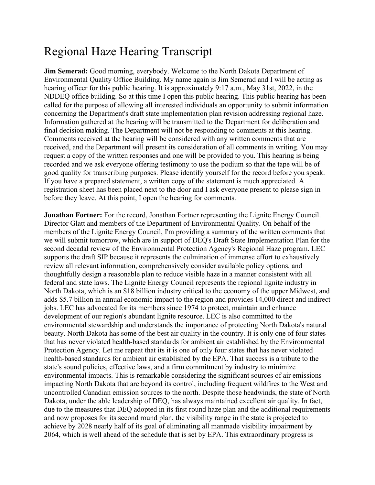## Regional Haze Hearing Transcript

**Jim Semerad:** Good morning, everybody. Welcome to the North Dakota Department of Environmental Quality Office Building. My name again is Jim Semerad and I will be acting as hearing officer for this public hearing. It is approximately 9:17 a.m., May 31st, 2022, in the NDDEQ office building. So at this time I open this public hearing. This public hearing has been called for the purpose of allowing all interested individuals an opportunity to submit information concerning the Department's draft state implementation plan revision addressing regional haze. Information gathered at the hearing will be transmitted to the Department for deliberation and final decision making. The Department will not be responding to comments at this hearing. Comments received at the hearing will be considered with any written comments that are received, and the Department will present its consideration of all comments in writing. You may request a copy of the written responses and one will be provided to you. This hearing is being recorded and we ask everyone offering testimony to use the podium so that the tape will be of good quality for transcribing purposes. Please identify yourself for the record before you speak. If you have a prepared statement, a written copy of the statement is much appreciated. A registration sheet has been placed next to the door and I ask everyone present to please sign in before they leave. At this point, I open the hearing for comments.

**Jonathan Fortner:** For the record, Jonathan Fortner representing the Lignite Energy Council. Director Glatt and members of the Department of Environmental Quality. On behalf of the members of the Lignite Energy Council, I'm providing a summary of the written comments that we will submit tomorrow, which are in support of DEQ's Draft State Implementation Plan for the second decadal review of the Environmental Protection Agency's Regional Haze program. LEC supports the draft SIP because it represents the culmination of immense effort to exhaustively review all relevant information, comprehensively consider available policy options, and thoughtfully design a reasonable plan to reduce visible haze in a manner consistent with all federal and state laws. The Lignite Energy Council represents the regional lignite industry in North Dakota, which is an \$18 billion industry critical to the economy of the upper Midwest, and adds \$5.7 billion in annual economic impact to the region and provides 14,000 direct and indirect jobs. LEC has advocated for its members since 1974 to protect, maintain and enhance development of our region's abundant lignite resource. LEC is also committed to the environmental stewardship and understands the importance of protecting North Dakota's natural beauty. North Dakota has some of the best air quality in the country. It is only one of four states that has never violated health-based standards for ambient air established by the Environmental Protection Agency. Let me repeat that its it is one of only four states that has never violated health-based standards for ambient air established by the EPA. That success is a tribute to the state's sound policies, effective laws, and a firm commitment by industry to minimize environmental impacts. This is remarkable considering the significant sources of air emissions impacting North Dakota that are beyond its control, including frequent wildfires to the West and uncontrolled Canadian emission sources to the north. Despite those headwinds, the state of North Dakota, under the able leadership of DEQ, has always maintained excellent air quality. In fact, due to the measures that DEQ adopted in its first round haze plan and the additional requirements and now proposes for its second round plan, the visibility range in the state is projected to achieve by 2028 nearly half of its goal of eliminating all manmade visibility impairment by 2064, which is well ahead of the schedule that is set by EPA. This extraordinary progress is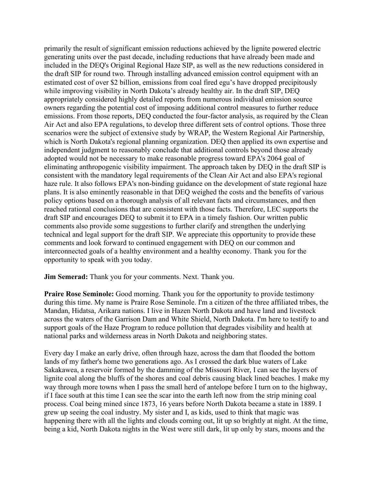primarily the result of significant emission reductions achieved by the lignite powered electric generating units over the past decade, including reductions that have already been made and included in the DEQ's Original Regional Haze SIP, as well as the new reductions considered in the draft SIP for round two. Through installing advanced emission control equipment with an estimated cost of over \$2 billion, emissions from coal fired egu's have dropped precipitously while improving visibility in North Dakota's already healthy air. In the draft SIP, DEQ appropriately considered highly detailed reports from numerous individual emission source owners regarding the potential cost of imposing additional control measures to further reduce emissions. From those reports, DEQ conducted the four-factor analysis, as required by the Clean Air Act and also EPA regulations, to develop three different sets of control options. Those three scenarios were the subject of extensive study by WRAP, the Western Regional Air Partnership, which is North Dakota's regional planning organization. DEQ then applied its own expertise and independent judgment to reasonably conclude that additional controls beyond those already adopted would not be necessary to make reasonable progress toward EPA's 2064 goal of eliminating anthropogenic visibility impairment. The approach taken by DEQ in the draft SIP is consistent with the mandatory legal requirements of the Clean Air Act and also EPA's regional haze rule. It also follows EPA's non-binding guidance on the development of state regional haze plans. It is also eminently reasonable in that DEQ weighed the costs and the benefits of various policy options based on a thorough analysis of all relevant facts and circumstances, and then reached rational conclusions that are consistent with those facts. Therefore, LEC supports the draft SIP and encourages DEQ to submit it to EPA in a timely fashion. Our written public comments also provide some suggestions to further clarify and strengthen the underlying technical and legal support for the draft SIP. We appreciate this opportunity to provide these comments and look forward to continued engagement with DEQ on our common and interconnected goals of a healthy environment and a healthy economy. Thank you for the opportunity to speak with you today.

**Jim Semerad:** Thank you for your comments. Next. Thank you.

**Praire Rose Seminole:** Good morning. Thank you for the opportunity to provide testimony during this time. My name is Praire Rose Seminole. I'm a citizen of the three affiliated tribes, the Mandan, Hidatsa, Arikara nations. I live in Hazen North Dakota and have land and livestock across the waters of the Garrison Dam and White Shield, North Dakota. I'm here to testify to and support goals of the Haze Program to reduce pollution that degrades visibility and health at national parks and wilderness areas in North Dakota and neighboring states.

Every day I make an early drive, often through haze, across the dam that flooded the bottom lands of my father's home two generations ago. As I crossed the dark blue waters of Lake Sakakawea, a reservoir formed by the damming of the Missouri River, I can see the layers of lignite coal along the bluffs of the shores and coal debris causing black lined beaches. I make my way through more towns when I pass the small herd of antelope before I turn on to the highway, if I face south at this time I can see the scar into the earth left now from the strip mining coal process. Coal being mined since 1873, 16 years before North Dakota became a state in 1889. I grew up seeing the coal industry. My sister and I, as kids, used to think that magic was happening there with all the lights and clouds coming out, lit up so brightly at night. At the time, being a kid, North Dakota nights in the West were still dark, lit up only by stars, moons and the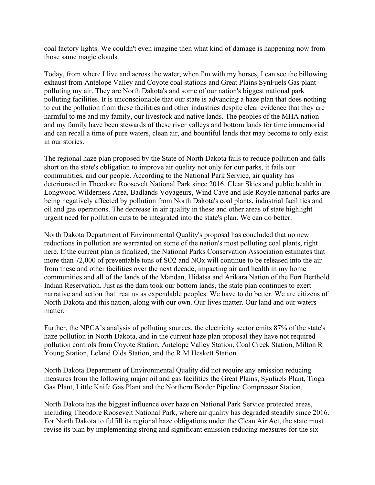coal factory lights. We couldn't even imagine then what kind of damage is happening now from those same magic clouds.

Today, from where I live and across the water, when I'm with my horses, I can see the billowing exhaust from Antelope Valley and Coyote coal stations and Great Plains SynFuels Gas plant polluting my air. They are North Dakota's and some of our nation's biggest national park polluting facilities. It is unconscionable that our state is advancing a haze plan that does nothing to cut the pollution from these facilities and other industries despite clear evidence that they are harmful to me and my family, our livestock and native lands. The peoples of the MHA nation and my family have been stewards of these river valleys and bottom lands for time immemorial and can recall a time of pure waters, clean air, and bountiful lands that may become to only exist in our stories.

The regional haze plan proposed by the State of North Dakota fails to reduce pollution and falls short on the state's obligation to improve air quality not only for our parks, it fails our communities, and our people. According to the National Park Service, air quality has deteriorated in Theodore Roosevelt National Park since 2016. Clear Skies and public health in Longwood Wilderness Area, Badlands Voyageurs, Wind Cave and Isle Royale national parks are being negatively affected by pollution from North Dakota's coal plants, industrial facilities and oil and gas operations. The decrease in air quality in these and other areas of state highlight urgent need for pollution cuts to be integrated into the state's plan. We can do better.

North Dakota Department of Environmental Quality's proposal has concluded that no new reductions in pollution are warranted on some of the nation's most polluting coal plants, right here. If the current plan is finalized, the National Parks Conservation Association estimates that more than 72,000 of preventable tons of SO2 and NOx will continue to be released into the air from these and other facilities over the next decade, impacting air and health in my home communities and all of the lands of the Mandan, Hidatsa and Arikara Nation of the Fort Berthold Indian Reservation. Just as the dam took our bottom lands, the state plan continues to exert narrative and action that treat us as expendable peoples. We have to do better. We are citizens of North Dakota and this nation, along with our own. Our lives matter. Our land and our waters matter.

Further, the NPCA's analysis of polluting sources, the electricity sector emits 87% of the state's haze pollution in North Dakota, and in the current haze plan proposal they have not required pollution controls from Coyote Station, Antelope Valley Station, Coal Creek Station, Milton R Young Station, Leland Olds Station, and the R M Heskett Station.

North Dakota Department of Environmental Quality did not require any emission reducing measures from the following major oil and gas facilities the Great Plains, Synfuels Plant, Tioga Gas Plant, Little Knife Gas Plant and the Northern Border Pipeline Compressor Station.

North Dakota has the biggest influence over haze on National Park Service protected areas, including Theodore Roosevelt National Park, where air quality has degraded steadily since 2016. For North Dakota to fulfill its regional haze obligations under the Clean Air Act, the state must revise its plan by implementing strong and significant emission reducing measures for the six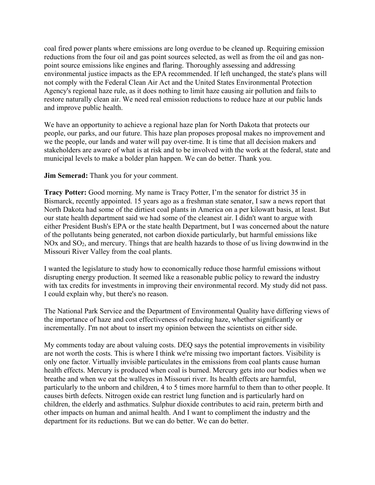coal fired power plants where emissions are long overdue to be cleaned up. Requiring emission reductions from the four oil and gas point sources selected, as well as from the oil and gas nonpoint source emissions like engines and flaring. Thoroughly assessing and addressing environmental justice impacts as the EPA recommended. If left unchanged, the state's plans will not comply with the Federal Clean Air Act and the United States Environmental Protection Agency's regional haze rule, as it does nothing to limit haze causing air pollution and fails to restore naturally clean air. We need real emission reductions to reduce haze at our public lands and improve public health.

We have an opportunity to achieve a regional haze plan for North Dakota that protects our people, our parks, and our future. This haze plan proposes proposal makes no improvement and we the people, our lands and water will pay over-time. It is time that all decision makers and stakeholders are aware of what is at risk and to be involved with the work at the federal, state and municipal levels to make a bolder plan happen. We can do better. Thank you.

**Jim Semerad:** Thank you for your comment.

**Tracy Potter:** Good morning. My name is Tracy Potter, I'm the senator for district 35 in Bismarck, recently appointed. 15 years ago as a freshman state senator, I saw a news report that North Dakota had some of the dirtiest coal plants in America on a per kilowatt basis, at least. But our state health department said we had some of the cleanest air. I didn't want to argue with either President Bush's EPA or the state health Department, but I was concerned about the nature of the pollutants being generated, not carbon dioxide particularly, but harmful emissions like NOx and SO<sub>2</sub>, and mercury. Things that are health hazards to those of us living downwind in the Missouri River Valley from the coal plants.

I wanted the legislature to study how to economically reduce those harmful emissions without disrupting energy production. It seemed like a reasonable public policy to reward the industry with tax credits for investments in improving their environmental record. My study did not pass. I could explain why, but there's no reason.

The National Park Service and the Department of Environmental Quality have differing views of the importance of haze and cost effectiveness of reducing haze, whether significantly or incrementally. I'm not about to insert my opinion between the scientists on either side.

My comments today are about valuing costs. DEQ says the potential improvements in visibility are not worth the costs. This is where I think we're missing two important factors. Visibility is only one factor. Virtually invisible particulates in the emissions from coal plants cause human health effects. Mercury is produced when coal is burned. Mercury gets into our bodies when we breathe and when we eat the walleyes in Missouri river. Its health effects are harmful, particularly to the unborn and children, 4 to 5 times more harmful to them than to other people. It causes birth defects. Nitrogen oxide can restrict lung function and is particularly hard on children, the elderly and asthmatics. Sulphur dioxide contributes to acid rain, preterm birth and other impacts on human and animal health. And I want to compliment the industry and the department for its reductions. But we can do better. We can do better.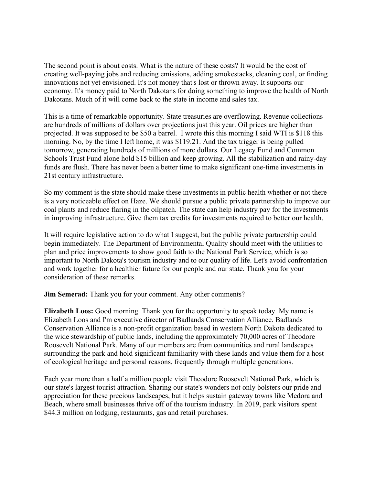The second point is about costs. What is the nature of these costs? It would be the cost of creating well-paying jobs and reducing emissions, adding smokestacks, cleaning coal, or finding innovations not yet envisioned. It's not money that's lost or thrown away. It supports our economy. It's money paid to North Dakotans for doing something to improve the health of North Dakotans. Much of it will come back to the state in income and sales tax.

This is a time of remarkable opportunity. State treasuries are overflowing. Revenue collections are hundreds of millions of dollars over projections just this year. Oil prices are higher than projected. It was supposed to be \$50 a barrel. I wrote this this morning I said WTI is \$118 this morning. No, by the time I left home, it was \$119.21. And the tax trigger is being pulled tomorrow, generating hundreds of millions of more dollars. Our Legacy Fund and Common Schools Trust Fund alone hold \$15 billion and keep growing. All the stabilization and rainy-day funds are flush. There has never been a better time to make significant one-time investments in 21st century infrastructure.

So my comment is the state should make these investments in public health whether or not there is a very noticeable effect on Haze. We should pursue a public private partnership to improve our coal plants and reduce flaring in the oilpatch. The state can help industry pay for the investments in improving infrastructure. Give them tax credits for investments required to better our health.

It will require legislative action to do what I suggest, but the public private partnership could begin immediately. The Department of Environmental Quality should meet with the utilities to plan and price improvements to show good faith to the National Park Service, which is so important to North Dakota's tourism industry and to our quality of life. Let's avoid confrontation and work together for a healthier future for our people and our state. Thank you for your consideration of these remarks.

**Jim Semerad:** Thank you for your comment. Any other comments?

**Elizabeth Loos:** Good morning. Thank you for the opportunity to speak today. My name is Elizabeth Loos and I'm executive director of Badlands Conservation Alliance. Badlands Conservation Alliance is a non-profit organization based in western North Dakota dedicated to the wide stewardship of public lands, including the approximately 70,000 acres of Theodore Roosevelt National Park. Many of our members are from communities and rural landscapes surrounding the park and hold significant familiarity with these lands and value them for a host of ecological heritage and personal reasons, frequently through multiple generations.

Each year more than a half a million people visit Theodore Roosevelt National Park, which is our state's largest tourist attraction. Sharing our state's wonders not only bolsters our pride and appreciation for these precious landscapes, but it helps sustain gateway towns like Medora and Beach, where small businesses thrive off of the tourism industry. In 2019, park visitors spent \$44.3 million on lodging, restaurants, gas and retail purchases.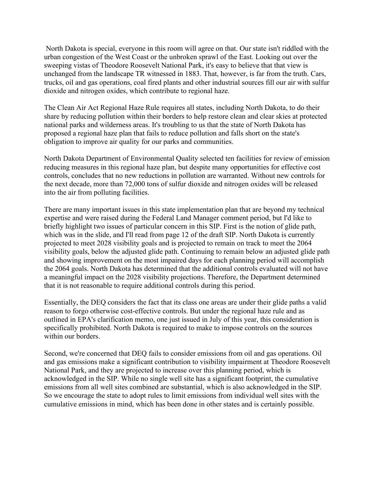North Dakota is special, everyone in this room will agree on that. Our state isn't riddled with the urban congestion of the West Coast or the unbroken sprawl of the East. Looking out over the sweeping vistas of Theodore Roosevelt National Park, it's easy to believe that that view is unchanged from the landscape TR witnessed in 1883. That, however, is far from the truth. Cars, trucks, oil and gas operations, coal fired plants and other industrial sources fill our air with sulfur dioxide and nitrogen oxides, which contribute to regional haze.

The Clean Air Act Regional Haze Rule requires all states, including North Dakota, to do their share by reducing pollution within their borders to help restore clean and clear skies at protected national parks and wilderness areas. It's troubling to us that the state of North Dakota has proposed a regional haze plan that fails to reduce pollution and falls short on the state's obligation to improve air quality for our parks and communities.

North Dakota Department of Environmental Quality selected ten facilities for review of emission reducing measures in this regional haze plan, but despite many opportunities for effective cost controls, concludes that no new reductions in pollution are warranted. Without new controls for the next decade, more than 72,000 tons of sulfur dioxide and nitrogen oxides will be released into the air from polluting facilities.

There are many important issues in this state implementation plan that are beyond my technical expertise and were raised during the Federal Land Manager comment period, but I'd like to briefly highlight two issues of particular concern in this SIP. First is the notion of glide path, which was in the slide, and I'll read from page 12 of the draft SIP. North Dakota is currently projected to meet 2028 visibility goals and is projected to remain on track to meet the 2064 visibility goals, below the adjusted glide path. Continuing to remain below an adjusted glide path and showing improvement on the most impaired days for each planning period will accomplish the 2064 goals. North Dakota has determined that the additional controls evaluated will not have a meaningful impact on the 2028 visibility projections. Therefore, the Department determined that it is not reasonable to require additional controls during this period.

Essentially, the DEQ considers the fact that its class one areas are under their glide paths a valid reason to forgo otherwise cost-effective controls. But under the regional haze rule and as outlined in EPA's clarification memo, one just issued in July of this year, this consideration is specifically prohibited. North Dakota is required to make to impose controls on the sources within our borders.

Second, we're concerned that DEQ fails to consider emissions from oil and gas operations. Oil and gas emissions make a significant contribution to visibility impairment at Theodore Roosevelt National Park, and they are projected to increase over this planning period, which is acknowledged in the SIP. While no single well site has a significant footprint, the cumulative emissions from all well sites combined are substantial, which is also acknowledged in the SIP. So we encourage the state to adopt rules to limit emissions from individual well sites with the cumulative emissions in mind, which has been done in other states and is certainly possible.